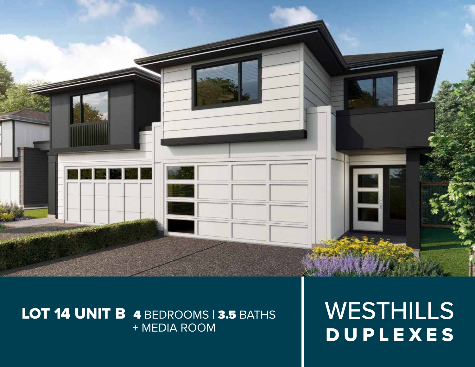

# LOT 14 UNIT B 4 BEDROOMS | 3.5 BATHS + MEDIA ROOM

WESTHILLS DUPLEXES